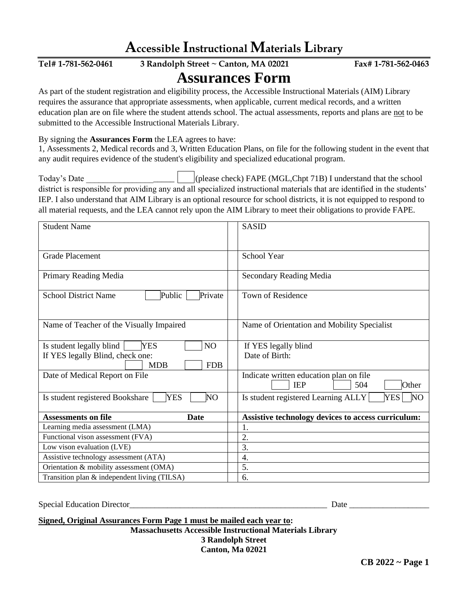| Accessible Instructional Materials Library                                                                                                                                                                                                                                                                                                                                                                                                                 |                                                                       |
|------------------------------------------------------------------------------------------------------------------------------------------------------------------------------------------------------------------------------------------------------------------------------------------------------------------------------------------------------------------------------------------------------------------------------------------------------------|-----------------------------------------------------------------------|
| Tel# 1-781-562-0461<br>3 Randolph Street ~ Canton, MA 02021                                                                                                                                                                                                                                                                                                                                                                                                | Fax# 1-781-562-0463                                                   |
| <b>Assurances Form</b>                                                                                                                                                                                                                                                                                                                                                                                                                                     |                                                                       |
| As part of the student registration and eligibility process, the Accessible Instructional Materials (AIM) Library<br>requires the assurance that appropriate assessments, when applicable, current medical records, and a written<br>education plan are on file where the student attends school. The actual assessments, reports and plans are not to be<br>submitted to the Accessible Instructional Materials Library.                                  |                                                                       |
| By signing the Assurances Form the LEA agrees to have:<br>1, Assessments 2, Medical records and 3, Written Education Plans, on file for the following student in the event that<br>any audit requires evidence of the student's eligibility and specialized educational program.                                                                                                                                                                           |                                                                       |
| (please check) FAPE (MGL, Chpt 71B) I understand that the school<br>Today's Date<br>district is responsible for providing any and all specialized instructional materials that are identified in the students'<br>IEP. I also understand that AIM Library is an optional resource for school districts, it is not equipped to respond to<br>all material requests, and the LEA cannot rely upon the AIM Library to meet their obligations to provide FAPE. |                                                                       |
| <b>Student Name</b>                                                                                                                                                                                                                                                                                                                                                                                                                                        | <b>SASID</b>                                                          |
| <b>Grade Placement</b>                                                                                                                                                                                                                                                                                                                                                                                                                                     | School Year                                                           |
| Primary Reading Media                                                                                                                                                                                                                                                                                                                                                                                                                                      | Secondary Reading Media                                               |
| <b>School District Name</b><br>Public<br>Private                                                                                                                                                                                                                                                                                                                                                                                                           | Town of Residence                                                     |
| Name of Teacher of the Visually Impaired                                                                                                                                                                                                                                                                                                                                                                                                                   | Name of Orientation and Mobility Specialist                           |
| <b>YES</b><br>Is student legally blind<br>NO<br>If YES legally Blind, check one:<br><b>MDB</b><br><b>FDB</b>                                                                                                                                                                                                                                                                                                                                               | If YES legally blind<br>Date of Birth:                                |
| Date of Medical Report on File                                                                                                                                                                                                                                                                                                                                                                                                                             | Indicate written education plan on file<br><b>IEP</b><br>504<br>Other |
| <b>YES</b><br>Is student registered Bookshare<br>NO <sub></sub>                                                                                                                                                                                                                                                                                                                                                                                            | Is student registered Learning ALLY<br><b>YES</b><br>N <sub>O</sub>   |
| <b>Assessments on file</b><br><b>Date</b>                                                                                                                                                                                                                                                                                                                                                                                                                  | Assistive technology devices to access curriculum:                    |
| Learning media assessment (LMA)                                                                                                                                                                                                                                                                                                                                                                                                                            | 1.                                                                    |
| Functional vison assessment (FVA)                                                                                                                                                                                                                                                                                                                                                                                                                          | 2.                                                                    |
| Low vison evaluation (LVE)                                                                                                                                                                                                                                                                                                                                                                                                                                 | 3.                                                                    |
| Assistive technology assessment (ATA)                                                                                                                                                                                                                                                                                                                                                                                                                      | 4.                                                                    |
| Orientation & mobility assessment (OMA)                                                                                                                                                                                                                                                                                                                                                                                                                    | $\overline{5}$ .                                                      |

Special Education Director\_\_\_\_\_\_\_\_\_\_\_\_\_\_\_\_\_\_\_\_\_\_\_\_\_\_\_\_\_\_\_\_\_\_\_\_\_\_\_\_\_\_\_\_\_\_\_ Date \_\_\_\_\_\_\_\_\_\_\_\_\_\_\_\_\_\_\_

**Signed, Original Assurances Form Page 1 must be mailed each year to: Massachusetts Accessible Instructional Materials Library 3 Randolph Street Canton, Ma 02021**

Transition plan  $\&$  independent living (TILSA)  $\begin{array}{|c|c|} \hline \end{array}$  6.